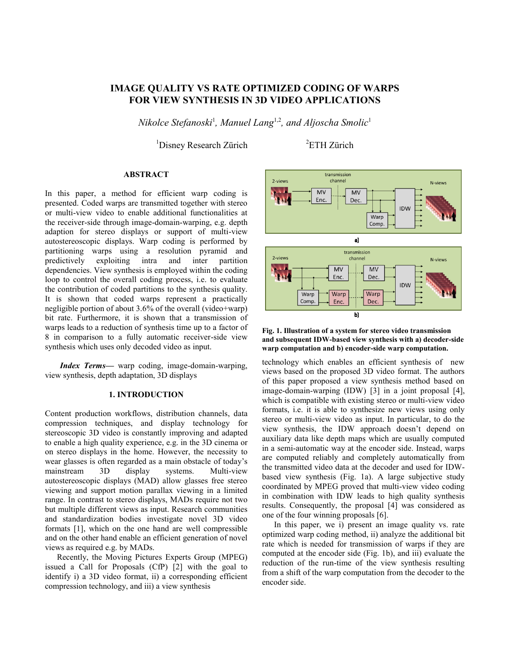# **IMAGE QUALITY VS RATE OPTIMIZED CODING OF WARPS FOR VIEW SYNTHESIS IN 3D VIDEO APPLICATIONS**

 $N$ ikolce Stefanoski<sup>1</sup>, Manuel Lang<sup>1,2</sup>, and Aljoscha Smolic<sup>1</sup>

 $1$ Disney Research Zürich  $2$ ETH Zürich

## **ABSTRACT**

In this paper, a method for efficient warp coding is presented. Coded warps are transmitted together with stereo or multi-view video to enable additional functionalities at the receiver-side through image-domain-warping, e.g. depth adaption for stereo displays or support of multi-view autostereoscopic displays. Warp coding is performed by partitioning warps using a resolution pyramid and predictively exploiting intra and inter partition dependencies. View synthesis is employed within the coding loop to control the overall coding process, i.e. to evaluate the contribution of coded partitions to the synthesis quality. It is shown that coded warps represent a practically negligible portion of about 3.6% of the overall (video+warp) bit rate. Furthermore, it is shown that a transmission of warps leads to a reduction of synthesis time up to a factor of 8 in comparison to a fully automatic receiver-side view synthesis which uses only decoded video as input.

*Index Terms—* warp coding, image-domain-warping, view synthesis, depth adaptation, 3D displays

#### **1. INTRODUCTION**

Content production workflows, distribution channels, data compression techniques, and display technology for stereoscopic 3D video is constantly improving and adapted to enable a high quality experience, e.g. in the 3D cinema or on stereo displays in the home. However, the necessity to wear glasses is often regarded as a main obstacle of today's mainstream 3D display systems. Multi-view autostereoscopic displays (MAD) allow glasses free stereo viewing and support motion parallax viewing in a limited range. In contrast to stereo displays, MADs require not two but multiple different views as input. Research communities and standardization bodies investigate novel 3D video formats [\[1\],](#page-3-0) which on the one hand are well compressible and on the other hand enable an efficient generation of novel views as required e.g. by MADs.

Recently, the Moving Pictures Experts Group (MPEG) issued a Call for Proposals (CfP) [\[2\]](#page-3-1) with the goal to identify i) a 3D video format, ii) a corresponding efficient compression technology, and iii) a view synthesis



<span id="page-0-0"></span>**Fig. 1. Illustration of a system for stereo video transmission and subsequent IDW-based view synthesis with a) decoder-side warp computation and b) encoder-side warp computation.**

technology which enables an efficient synthesis of new views based on the proposed 3D video format. The authors of this paper proposed a view synthesis method based on image-domain-warping (IDW) [\[3\]](#page-3-2) in a joint proposal [\[4\],](#page-3-3) which is compatible with existing stereo or multi-view video formats, i.e. it is able to synthesize new views using only stereo or multi-view video as input. In particular, to do the view synthesis, the IDW approach doesn't depend on auxiliary data like depth maps which are usually computed in a semi-automatic way at the encoder side. Instead, warps are computed reliably and completely automatically from the transmitted video data at the decoder and used for IDWbased view synthesis [\(Fig. 1a](#page-0-0)). A large subjective study coordinated by MPEG proved that multi-view video coding in combination with IDW leads to high quality synthesis results. Consequently, the proposal [\[4\]](#page-3-3) was considered as one of the four winning proposals [\[6\].](#page-3-4)

In this paper, we i) present an image quality vs. rate optimized warp coding method, ii) analyze the additional bit rate which is needed for transmission of warps if they are computed at the encoder side [\(Fig. 1b](#page-0-0)), and iii) evaluate the reduction of the run-time of the view synthesis resulting from a shift of the warp computation from the decoder to the encoder side.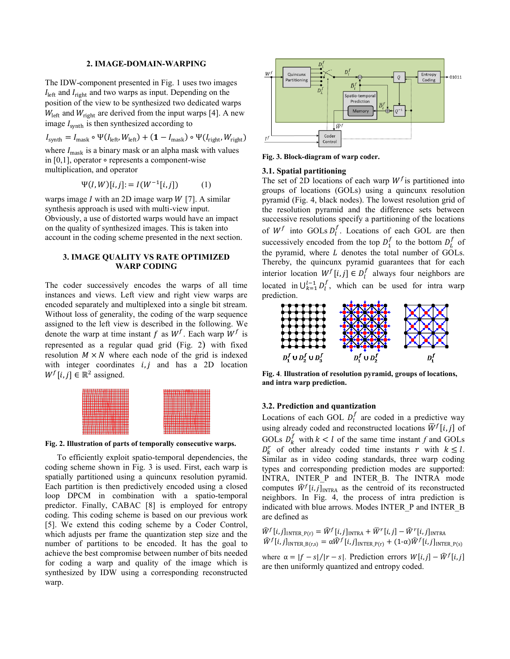#### **2. IMAGE-DOMAIN-WARPING**

The IDW-component presented in [Fig. 1](#page-0-0) uses two images  $I_{\text{left}}$  and  $I_{\text{right}}$  and two warps as input. Depending on the position of the view to be synthesized two dedicated warps  $W_{\text{left}}$  and  $W_{\text{right}}$  are derived from the input warps [\[4\].](#page-3-3) A new image  $I<sub>synth</sub>$  is then synthesized according to

 $I_{\text{synth}} = I_{\text{mask}} \circ \Psi(I_{\text{left}}, W_{\text{left}}) + (\mathbf{1} - I_{\text{mask}}) \circ \Psi(I_{\text{right}}, W_{\text{right}})$ where  $I_{\text{mask}}$  is a binary mask or an alpha mask with values in  $[0,1]$ , operator  $\circ$  represents a component-wise multiplication, and operator

$$
\Psi(I, W)[i, j] := I(W^{-1}[i, j]) \tag{1}
$$

warps image I with an 2D image warp  $W$  [\[7\].](#page-3-5) A similar synthesis approach is used with multi-view input. Obviously, a use of distorted warps would have an impact on the quality of synthesized images. This is taken into account in the coding scheme presented in the next section.

### **3. IMAGE QUALITY VS RATE OPTIMIZED WARP CODING**

The coder successively encodes the warps of all time instances and views. Left view and right view warps are encoded separately and multiplexed into a single bit stream. Without loss of generality, the coding of the warp sequence assigned to the left view is described in the following. We denote the warp at time instant f as  $W^f$ . Each warp  $W^f$  is represented as a regular quad grid ([Fig. 2](#page-1-0)) with fixed resolution  $M \times N$  where each node of the grid is indexed with integer coordinates  $i, j$  and has a 2D location  $W^f[i, j] \in \mathbb{R}^2$  assigned.



<span id="page-1-0"></span>**Fig. 2. Illustration of parts of temporally consecutive warps.**

To efficiently exploit spatio-temporal dependencies, the coding scheme shown in [Fig. 3](#page-1-1) is used. First, each warp is spatially partitioned using a quincunx resolution pyramid. Each partition is then predictively encoded using a closed loop DPCM in combination with a spatio-temporal predictor. Finally, CABAC [\[8\]](#page-3-6) is employed for entropy coding. This coding scheme is based on our previous work [\[5\].](#page-3-7) We extend this coding scheme by a Coder Control, which adjusts per frame the quantization step size and the number of partitions to be encoded. It has the goal to achieve the best compromise between number of bits needed for coding a warp and quality of the image which is synthesized by IDW using a corresponding reconstructed warp.



<span id="page-1-1"></span>**Fig. 3. Block-diagram of warp coder.**

#### **3.1. Spatial partitioning**

The set of 2D locations of each warp  $W<sup>f</sup>$  is partitioned into groups of locations (GOLs) using a quincunx resolution pyramid [\(Fig. 4,](#page-1-2) black nodes). The lowest resolution grid of the resolution pyramid and the difference sets between successive resolutions specify a partitioning of the locations of  $W^f$  into GOLs  $D_1^f$ . Locations of each GOL are then successively encoded from the top  $D_1^f$  to the bottom  $D_t^f$  of the pyramid, where  $L$  denotes the total number of GOLs. Thereby, the quincunx pyramid guarantees that for each interior location  $W^f[i, j] \in D_i^f$  always four neighbors are located in  $\bigcup_{k=1}^{l-1} D_l^f$ , which can be used for intra warp prediction.



<span id="page-1-2"></span>**Fig. 4**. **Illustration of resolution pyramid, groups of locations, and intra warp prediction.**

#### **3.2. Prediction and quantization**

Locations of each GOL  $D_l^f$  are coded in a predictive way using already coded and reconstructed locations  $\overline{W}^{f}[i,j]$  of GOLs  $D_k^f$  with  $k < l$  of the same time instant *f* and GOLs  $D_k^r$  of other already coded time instants r with  $k \leq l$ . Similar as in video coding standards, three warp coding types and corresponding prediction modes are supported: INTRA, INTER\_P and INTER\_B. The INTRA mode computes  $\hat{W}^{f}[i,j]_{\text{INTRA}}$  as the centroid of its reconstructed neighbors. In [Fig. 4,](#page-1-2) the process of intra prediction is indicated with blue arrows. Modes INTER\_P and INTER\_B are defined as

$$
\widehat{W}^f[i,j]_{\text{INTER\_P}(r)} = \widehat{W}^f[i,j]_{\text{INTER}} + \overline{W}^r[i,j] - \widehat{W}^r[i,j]_{\text{INTER}} \n\widehat{W}^f[i,j]_{\text{INTER\_P}(r)} = \alpha \widehat{W}^f[i,j]_{\text{INTER\_P}(r)} + (1-\alpha) \widehat{W}^f[i,j]_{\text{INTER\_P}(s)}
$$

where  $\alpha = |f - s|/|r - s|$ . Prediction errors  $W[i, j] - \hat{W}^{f}[i, j]$ are then uniformly quantized and entropy coded.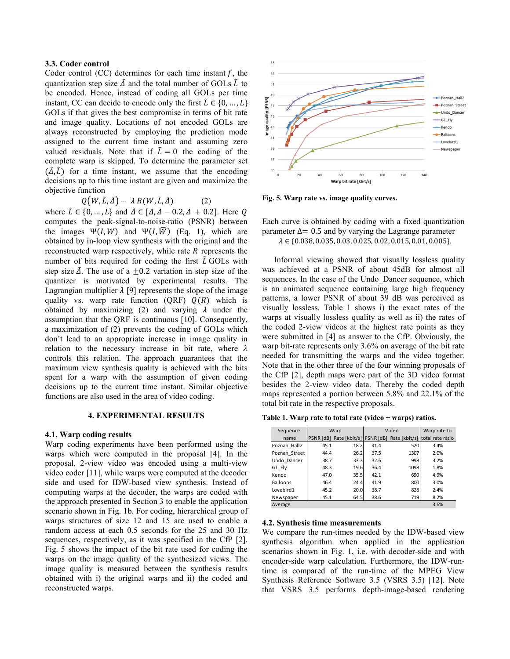### **3.3. Coder control**

Coder control (CC) determines for each time instant  $f$ , the quantization step size  $\tilde{\Delta}$  and the total number of GOLs  $\tilde{L}$  to be encoded. Hence, instead of coding all GOLs per time instant, CC can decide to encode only the first  $\tilde{L} \in \{0, ..., L\}$ GOLs if that gives the best compromise in terms of bit rate and image quality. Locations of not encoded GOLs are always reconstructed by employing the prediction mode assigned to the current time instant and assuming zero valued residuals. Note that if  $\tilde{L} = 0$  the coding of the complete warp is skipped. To determine the parameter set  $(\tilde{\Delta}, \tilde{L})$  for a time instant, we assume that the encoding decisions up to this time instant are given and maximize the objective function

 $Q(W, \tilde{L}, \tilde{\Delta}) - \lambda R(W, \tilde{L}, \tilde{\Delta})$  (2)

where  $\tilde{L} \in \{0, ..., L\}$  and  $\tilde{\Delta} \in [\Delta, \Delta - 0.2, \Delta + 0.2]$ . Here Q computes the peak-signal-to-noise-ratio (PSNR) between the images  $\Psi(I, W)$  and  $\Psi(I, \overline{W})$  (Eq. 1), which are obtained by in-loop view synthesis with the original and the reconstructed warp respectively, while rate  $R$  represents the number of bits required for coding the first  $\tilde{L}$  GOLs with step size  $\tilde{\Delta}$ . The use of a  $\pm 0.2$  variation in step size of the quantizer is motivated by experimental results. The Lagrangian multiplier  $\lambda$  [\[9\]](#page-3-8) represents the slope of the image quality vs. warp rate function  $(QRF)$   $Q(R)$  which is obtained by maximizing (2) and varying  $\lambda$  under the assumption that the QRF is continuous [\[10\].](#page-3-9) Consequently, a maximization of (2) prevents the coding of GOLs which don't lead to an appropriate increase in image quality in relation to the necessary increase in bit rate, where  $\lambda$ controls this relation. The approach guarantees that the maximum view synthesis quality is achieved with the bits spent for a warp with the assumption of given coding decisions up to the current time instant. Similar objective functions are also used in the area of video coding.

#### **4. EXPERIMENTAL RESULTS**

#### **4.1. Warp coding results**

Warp coding experiments have been performed using the warps which were computed in the proposal [\[4\].](#page-3-3) In the proposal, 2-view video was encoded using a multi-view video code[r \[11\],](#page-3-10) while warps were computed at the decoder side and used for IDW-based view synthesis. Instead of computing warps at the decoder, the warps are coded with the approach presented in Section 3 to enable the application scenario shown in [Fig. 1b](#page-0-0). For coding, hierarchical group of warps structures of size 12 and 15 are used to enable a random access at each 0.5 seconds for the 25 and 30 Hz sequences, respectively, as it was specified in the CfP [\[2\].](#page-3-1) [Fig. 5](#page-2-0) shows the impact of the bit rate used for coding the warps on the image quality of the synthesized views. The image quality is measured between the synthesis results obtained with i) the original warps and ii) the coded and reconstructed warps.



<span id="page-2-0"></span>**Fig. 5. Warp rate vs. image quality curves.**

Each curve is obtained by coding with a fixed quantization parameter  $\Delta$  = 0.5 and by varying the Lagrange parameter  $\lambda \in \{0.038, 0.035, 0.03, 0.025, 0.02, 0.015, 0.01, 0.005\}.$ 

Informal viewing showed that visually lossless quality was achieved at a PSNR of about 45dB for almost all sequences. In the case of the Undo\_Dancer sequence, which is an animated sequence containing large high frequency patterns, a lower PSNR of about 39 dB was perceived as visually lossless. [Table 1](#page-2-1) shows i) the exact rates of the warps at visually lossless quality as well as ii) the rates of the coded 2-view videos at the highest rate points as they were submitted in [\[4\]](#page-3-3) as answer to the CfP. Obviously, the warp bit-rate represents only 3.6% on average of the bit rate needed for transmitting the warps and the video together. Note that in the other three of the four winning proposals of the CfP [\[2\],](#page-3-1) depth maps were part of the 3D video format besides the 2-view video data. Thereby the coded depth maps represented a portion between 5.8% and 22.1% of the total bit rate in the respective proposals.

<span id="page-2-1"></span>**Table 1. Warp rate to total rate (video + warps) ratios.**

| Sequence        | Warp |      | Video |      | Warp rate to                                                     |  |
|-----------------|------|------|-------|------|------------------------------------------------------------------|--|
| name            |      |      |       |      | PSNR [dB] Rate [kbit/s] PSNR [dB] Rate [kbit/s] total rate ratio |  |
| Poznan Hall2    | 45.1 | 18.2 | 41.4  | 520  | 3.4%                                                             |  |
| Poznan Street   | 44.4 | 26.2 | 37.5  | 1307 | 2.0%                                                             |  |
| Undo Dancer     | 38.7 | 33.3 | 32.6  | 998  | 3.2%                                                             |  |
| GT Fly          | 48.3 | 19.6 | 36.4  | 1098 | 1.8%                                                             |  |
| Kendo           | 47.0 | 35.5 | 42.1  | 690  | 4.9%                                                             |  |
| <b>Balloons</b> | 46.4 | 24.4 | 41.9  | 800  | 3.0%                                                             |  |
| Lovebird1       | 45.2 | 20.0 | 38.7  | 828  | 2.4%                                                             |  |
| Newspaper       | 45.1 | 64.5 | 38.6  | 719  | 8.2%                                                             |  |
| Average         |      |      |       |      | 3.6%                                                             |  |

### **4.2. Synthesis time measurements**

We compare the run-times needed by the IDW-based view synthesis algorithm when applied in the application scenarios shown in [Fig. 1,](#page-0-0) i.e. with decoder-side and with encoder-side warp calculation. Furthermore, the IDW-runtime is compared of the run-time of the MPEG View Synthesis Reference Software 3.5 (VSRS 3.5) [\[12\].](#page-3-11) Note that VSRS 3.5 performs depth-image-based rendering